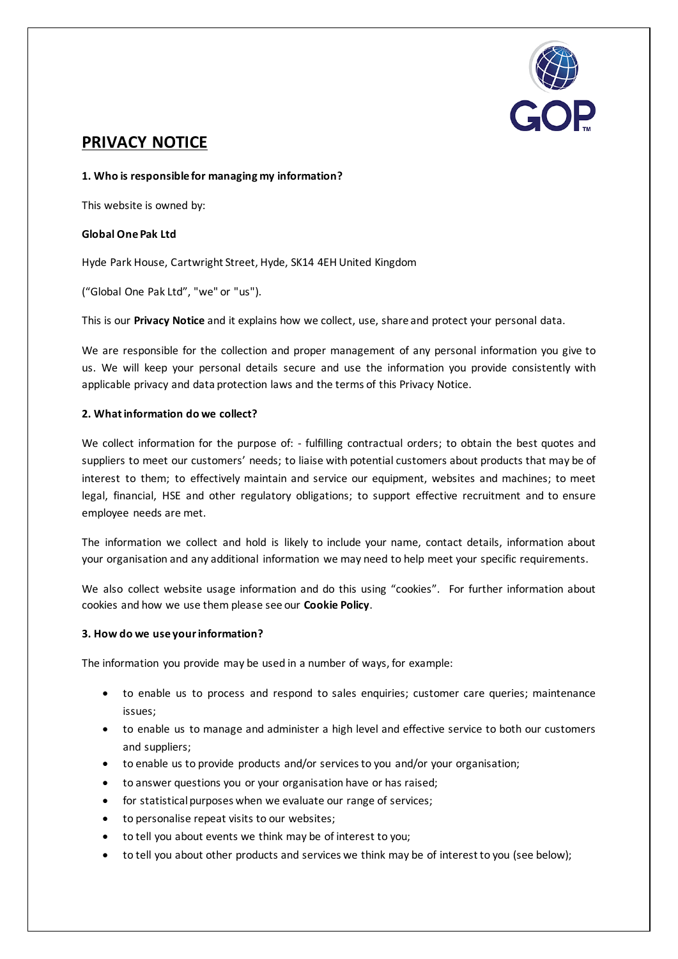

# **PRIVACY NOTICE**

### **1. Who is responsible for managing my information?**

This website is owned by:

### **Global One Pak Ltd**

Hyde Park House, Cartwright Street, Hyde, SK14 4EH United Kingdom

("Global One Pak Ltd", "we" or "us").

This is our **Privacy Notice** and it explains how we collect, use, share and protect your personal data.

We are responsible for the collection and proper management of any personal information you give to us. We will keep your personal details secure and use the information you provide consistently with applicable privacy and data protection laws and the terms of this Privacy Notice.

#### **2. What information do we collect?**

We collect information for the purpose of: - fulfilling contractual orders; to obtain the best quotes and suppliers to meet our customers' needs; to liaise with potential customers about products that may be of interest to them; to effectively maintain and service our equipment, websites and machines; to meet legal, financial, HSE and other regulatory obligations; to support effective recruitment and to ensure employee needs are met.

The information we collect and hold is likely to include your name, contact details, information about your organisation and any additional information we may need to help meet your specific requirements.

We also collect website usage information and do this using "cookies". For further information about cookies and how we use them please see our **Cookie Policy**.

#### **3. How do we use your information?**

The information you provide may be used in a number of ways, for example:

- to enable us to process and respond to sales enquiries; customer care queries; maintenance issues;
- to enable us to manage and administer a high level and effective service to both our customers and suppliers;
- to enable us to provide products and/or services to you and/or your organisation;
- to answer questions you or your organisation have or has raised;
- for statistical purposes when we evaluate our range of services;
- to personalise repeat visits to our websites;
- to tell you about events we think may be of interest to you;
- to tell you about other products and services we think may be of interest to you (see below);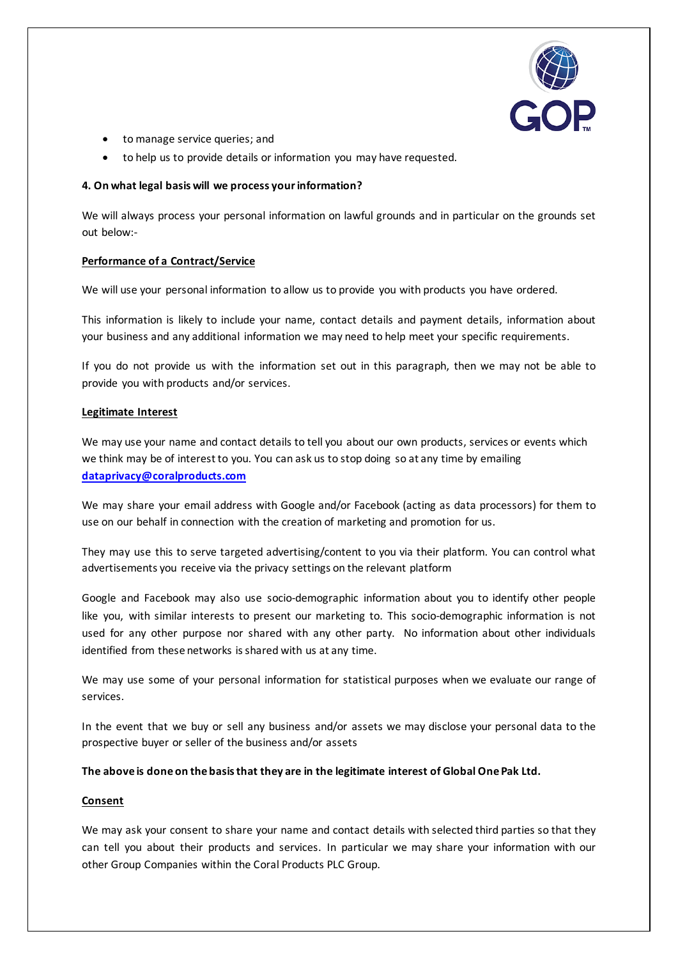

- to manage service queries; and
- to help us to provide details or information you may have requested.

### **4. On what legal basis will we process your information?**

We will always process your personal information on lawful grounds and in particular on the grounds set out below:-

#### **Performance of a Contract/Service**

We will use your personal information to allow us to provide you with products you have ordered.

This information is likely to include your name, contact details and payment details, information about your business and any additional information we may need to help meet your specific requirements.

If you do not provide us with the information set out in this paragraph, then we may not be able to provide you with products and/or services.

#### **Legitimate Interest**

We may use your name and contact details to tell you about our own products, services or events which we think may be of interest to you. You can ask us to stop doing so at any time by emailing **[dataprivacy@coralproducts.com](mailto:dataprivacy@coralproducts.com)**

We may share your email address with Google and/or Facebook (acting as data processors) for them to use on our behalf in connection with the creation of marketing and promotion for us.

They may use this to serve targeted advertising/content to you via their platform. You can control what advertisements you receive via the privacy settings on the relevant platform

Google and Facebook may also use socio-demographic information about you to identify other people like you, with similar interests to present our marketing to. This socio-demographic information is not used for any other purpose nor shared with any other party. No information about other individuals identified from these networks is shared with us at any time.

We may use some of your personal information for statistical purposes when we evaluate our range of services.

In the event that we buy or sell any business and/or assets we may disclose your personal data to the prospective buyer or seller of the business and/or assets

# **The above is done on the basis that they are in the legitimate interest of Global One Pak Ltd.**

# **Consent**

We may ask your consent to share your name and contact details with selected third parties so that they can tell you about their products and services. In particular we may share your information with our other Group Companies within the Coral Products PLC Group.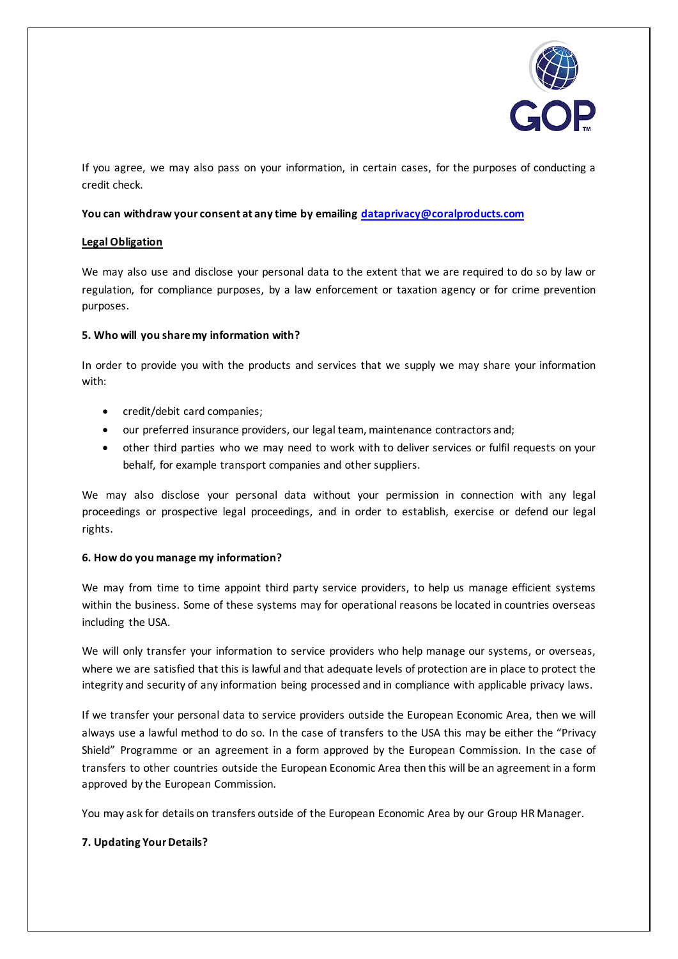

If you agree, we may also pass on your information, in certain cases, for the purposes of conducting a credit check.

### **You can withdraw your consent at any time by emailing [dataprivacy@coralproducts.com](mailto:dataprivacy@coralproducts.com)**

#### **Legal Obligation**

We may also use and disclose your personal data to the extent that we are required to do so by law or regulation, for compliance purposes, by a law enforcement or taxation agency or for crime prevention purposes.

#### **5. Who will you share my information with?**

In order to provide you with the products and services that we supply we may share your information with:

- credit/debit card companies;
- our preferred insurance providers, our legal team, maintenance contractors and;
- other third parties who we may need to work with to deliver services or fulfil requests on your behalf, for example transport companies and other suppliers.

We may also disclose your personal data without your permission in connection with any legal proceedings or prospective legal proceedings, and in order to establish, exercise or defend our legal rights.

# **6. How do you manage my information?**

We may from time to time appoint third party service providers, to help us manage efficient systems within the business. Some of these systems may for operational reasons be located in countries overseas including the USA.

We will only transfer your information to service providers who help manage our systems, or overseas, where we are satisfied that this is lawful and that adequate levels of protection are in place to protect the integrity and security of any information being processed and in compliance with applicable privacy laws.

If we transfer your personal data to service providers outside the European Economic Area, then we will always use a lawful method to do so. In the case of transfers to the USA this may be either the "Privacy Shield" Programme or an agreement in a form approved by the European Commission. In the case of transfers to other countries outside the European Economic Area then this will be an agreement in a form approved by the European Commission.

You may ask for details on transfers outside of the European Economic Area by our Group HR Manager.

# **7. Updating Your Details?**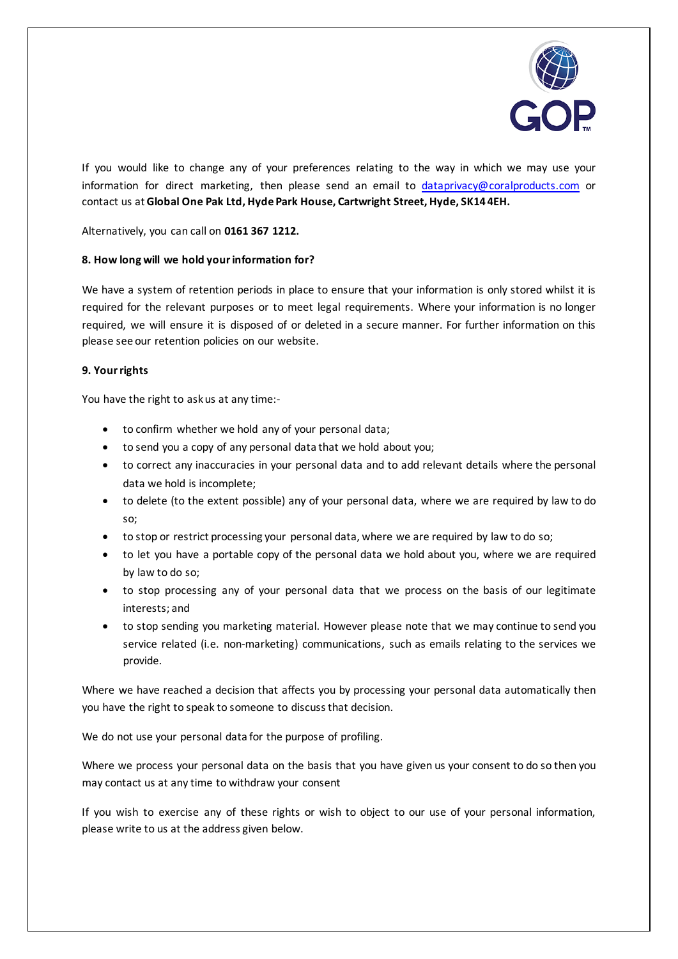

If you would like to change any of your preferences relating to the way in which we may use your information for direct marketing, then please send an email to [dataprivacy@coralproducts.com](mailto:dataprivacy@coralproducts.com) or contact us at **Global One Pak Ltd, Hyde Park House, Cartwright Street, Hyde, SK14 4EH.** 

Alternatively, you can call on **0161 367 1212.** 

# **8. How long will we hold yourinformation for?**

We have a system of retention periods in place to ensure that your information is only stored whilst it is required for the relevant purposes or to meet legal requirements. Where your information is no longer required, we will ensure it is disposed of or deleted in a secure manner. For further information on this please see our retention policies on our website.

# **9. Your rights**

You have the right to ask us at any time:-

- to confirm whether we hold any of your personal data;
- to send you a copy of any personal data that we hold about you;
- to correct any inaccuracies in your personal data and to add relevant details where the personal data we hold is incomplete;
- to delete (to the extent possible) any of your personal data, where we are required by law to do so;
- to stop or restrict processing your personal data, where we are required by law to do so;
- to let you have a portable copy of the personal data we hold about you, where we are required by law to do so;
- to stop processing any of your personal data that we process on the basis of our legitimate interests; and
- to stop sending you marketing material. However please note that we may continue to send you service related (i.e. non-marketing) communications, such as emails relating to the services we provide.

Where we have reached a decision that affects you by processing your personal data automatically then you have the right to speak to someone to discuss that decision.

We do not use your personal data for the purpose of profiling.

Where we process your personal data on the basis that you have given us your consent to do so then you may contact us at any time to withdraw your consent

If you wish to exercise any of these rights or wish to object to our use of your personal information, please write to us at the address given below.